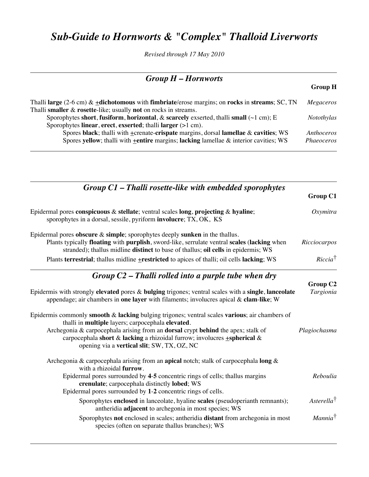## *Sub-Guide to Hornworts & "Complex" Thalloid Liverworts*

*Revised through 17 May 2010*

| $Group H-Hornworts$                                                                                                                                                       |                   |  |
|---------------------------------------------------------------------------------------------------------------------------------------------------------------------------|-------------------|--|
|                                                                                                                                                                           | <b>Group H</b>    |  |
| Thalli large (2-6 cm) & $\pm$ dichotomous with fimbriate/erose margins; on rocks in streams; SC, TN<br>Thalli smaller $\&$ rosette-like; usually not on rocks in streams. | Megaceros         |  |
| Sporophytes short, fusiform, horizontal, & scarcely exserted, thalli small ( $\sim$ 1 cm); E                                                                              | Notothylas        |  |
| Sporophytes linear, erect, exserted; thalli larger $(>1$ cm).<br>Spores black; thalli with $\pm$ crenate-crispate margins, dorsal lamellae & cavities; WS                 | Anthoceros        |  |
| Spores yellow; thalli with $\pm$ entire margins; lacking lamellae & interior cavities; WS                                                                                 | <i>Phaeoceros</i> |  |

| $Group\ CL$ – Thalli rosette-like with embedded sporophytes                                                                                                                                                                                                                        |                            |
|------------------------------------------------------------------------------------------------------------------------------------------------------------------------------------------------------------------------------------------------------------------------------------|----------------------------|
|                                                                                                                                                                                                                                                                                    | Group C1                   |
| Epidermal pores conspicuous & stellate; ventral scales long, projecting & hyaline;<br>sporophytes in a dorsal, sessile, pyriform involucre; TX, OK, KS                                                                                                                             | Oxymitra                   |
| Epidermal pores obscure $\&$ simple; sporophytes deeply sunken in the thallus.<br>Plants typically <b>floating</b> with <b>purplish</b> , sword-like, serrulate ventral scales (lacking when<br>stranded); thallus midline distinct to base of thallus; oil cells in epidermis; WS | Ricciocarpos               |
| Plants terrestrial; thallus midline <b>+</b> restricted to apices of thalli; oil cells lacking; WS                                                                                                                                                                                 | $Riccia^{\dagger}$         |
| Group $C2$ – Thalli rolled into a purple tube when dry                                                                                                                                                                                                                             | Group C <sub>2</sub>       |
| Epidermis with strongly elevated pores & bulging trigones; ventral scales with a single, lanceolate<br>appendage; air chambers in one layer with filaments; involucres apical & clam-like; W                                                                                       | Targionia                  |
| Epidermis commonly smooth $\&$ lacking bulging trigones; ventral scales various; air chambers of<br>thalli in multiple layers; carpocephala elevated.                                                                                                                              |                            |
| Archegonia & carpocephala arising from an dorsal crypt behind the apex; stalk of<br>carpocephala short & lacking a rhizoidal furrow; involucres +spherical &<br>opening via a vertical slit; SW, TX, OZ, NC                                                                        | Plagiochasma               |
| Archegonia & carpocephala arising from an apical notch; stalk of carpocephala long $\&$<br>with a rhizoidal furrow.                                                                                                                                                                |                            |
| Epidermal pores surrounded by 4-5 concentric rings of cells; thallus margins<br>crenulate; carpocephala distinctly lobed; WS                                                                                                                                                       | Reboulia                   |
| Epidermal pores surrounded by 1-2 concentric rings of cells.                                                                                                                                                                                                                       |                            |
| Sporophytes enclosed in lanceolate, hyaline scales (pseudoperianth remnants);<br>antheridia adjacent to archegonia in most species; WS                                                                                                                                             | A <sub>sterella</sub> †    |
| Sporophytes not enclosed in scales; antheridia distant from archegonia in most<br>species (often on separate thallus branches); WS                                                                                                                                                 | <i>Mannia</i> <sup>†</sup> |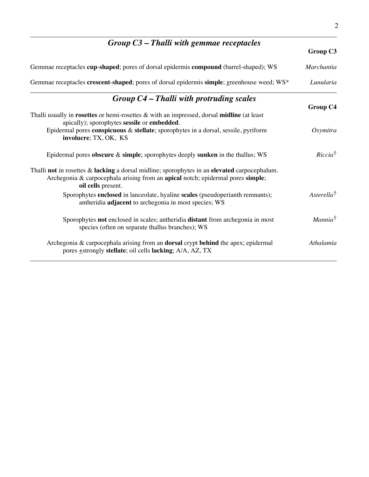| $Group C3 - Thalli with gemmae receptacles$                                                                                                                                                              |                         |
|----------------------------------------------------------------------------------------------------------------------------------------------------------------------------------------------------------|-------------------------|
|                                                                                                                                                                                                          | Group C3                |
| Gemmae receptacles cup-shaped; pores of dorsal epidermis compound (barrel-shaped); WS                                                                                                                    | Marchantia              |
| Gemmae receptacles crescent-shaped; pores of dorsal epidermis simple; greenhouse weed; WS*                                                                                                               | Lunularia               |
| $Group C4 - Thalli with portuding scales$                                                                                                                                                                | Group C4                |
| Thalli usually in rosettes or hemi-rosettes & with an impressed, dorsal midline (at least<br>apically); sporophytes sessile or embedded.                                                                 |                         |
| Epidermal pores conspicuous & stellate; sporophytes in a dorsal, sessile, pyriform<br>involucre; TX, OK, KS                                                                                              | Oxymitra                |
| Epidermal pores obscure $\&$ simple; sporophytes deeply sunken in the thallus; WS                                                                                                                        | $Riccia^{\dagger}$      |
| Thalli not in rosettes $\&$ lacking a dorsal midline; sporophytes in an elevated carpocephalum.<br>Archegonia & carpocephala arising from an apical notch; epidermal pores simple;<br>oil cells present. |                         |
| Sporophytes enclosed in lanceolate, hyaline scales (pseudoperianth remnants);<br>antheridia adjacent to archegonia in most species; WS                                                                   | A <sub>sterella</sub> † |
| Sporophytes not enclosed in scales; antheridia distant from archegonia in most<br>species (often on separate thallus branches); WS                                                                       | Mannia <sup>†</sup>     |
| Archegonia & carpocephala arising from an <b>dorsal</b> crypt behind the apex; epidermal<br>pores <b>+</b> strongly stellate; oil cells lacking; A/A, AZ, TX                                             | Athalamia               |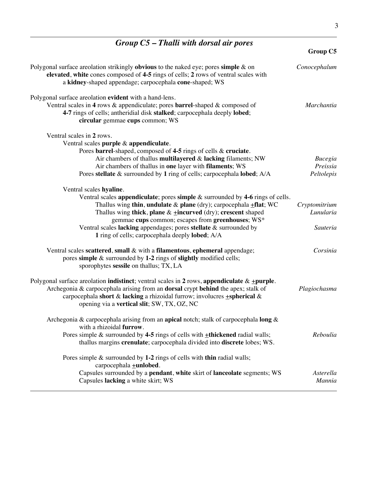| $Group\;C5$ – Thalli with dorsal air pores                                                                                                                                                                                                                                                                                                                                                                                               | <b>Group C5</b>                          |
|------------------------------------------------------------------------------------------------------------------------------------------------------------------------------------------------------------------------------------------------------------------------------------------------------------------------------------------------------------------------------------------------------------------------------------------|------------------------------------------|
| Polygonal surface are olation strikingly <b>obvious</b> to the naked eye; pores simple $\&$ on<br>elevated, white cones composed of 4-5 rings of cells; 2 rows of ventral scales with<br>a kidney-shaped appendage; carpocephala cone-shaped; WS                                                                                                                                                                                         | Conocephalum                             |
| Polygonal surface areolation evident with a hand-lens.<br>Ventral scales in 4 rows $\&$ appendiculate; pores <b>barrel</b> -shaped $\&$ composed of<br>4-7 rings of cells; antheridial disk stalked; carpocephala deeply lobed;<br>circular gemmae cups common; WS                                                                                                                                                                       | Marchantia                               |
| Ventral scales in 2 rows.<br>Ventral scales purple & appendiculate.<br>Pores barrel-shaped, composed of 4-5 rings of cells & cruciate.<br>Air chambers of thallus multilayered $\&$ lacking filaments; NW<br>Air chambers of thallus in one layer with filaments; WS<br>Pores stellate & surrounded by 1 ring of cells; carpocephala lobed; A/A                                                                                          | <b>Bucegia</b><br>Preissia<br>Peltolepis |
| Ventral scales hyaline.<br>Ventral scales appendiculate; pores simple $\&$ surrounded by 4-6 rings of cells.<br>Thallus wing thin, undulate $\&$ plane (dry); carpocephala $\pm$ flat; WC<br>Thallus wing thick, plane $&$ +incurved (dry); crescent shaped<br>gemmae cups common; escapes from greenhouses; WS*<br>Ventral scales lacking appendages; pores stellate & surrounded by<br>1 ring of cells; carpocephala deeply lobed; A/A | Cryptomitrium<br>Lunularia<br>Sauteria   |
| Ventral scales scattered, small $\&$ with a filamentous, ephemeral appendage;<br>pores simple $\&$ surrounded by 1-2 rings of slightly modified cells;<br>sporophytes sessile on thallus; TX, LA                                                                                                                                                                                                                                         | Corsinia                                 |
| Polygonal surface areolation <b>indistinct</b> ; ventral scales in 2 rows, appendiculate $\&$ $\pm$ purple.<br>Archegonia & carpocephala arising from an dorsal crypt behind the apex; stalk of<br>carpocephala short & lacking a rhizoidal furrow; involucres +spherical &<br>opening via a vertical slit; SW, TX, OZ, NC                                                                                                               | Plagiochasma                             |
| Archegonia & carpocephala arising from an apical notch; stalk of carpocephala long $\&$<br>with a rhizoidal furrow.<br>Pores simple $\&$ surrounded by 4-5 rings of cells with $\pm$ thickened radial walls;<br>thallus margins crenulate; carpocephala divided into discrete lobes; WS.                                                                                                                                                 | Reboulia                                 |
| Pores simple $\&$ surrounded by 1-2 rings of cells with thin radial walls;<br>carpocephala <b>+unlobed</b> .<br>Capsules surrounded by a pendant, white skirt of lanceolate segments; WS<br>Capsules lacking a white skirt; WS                                                                                                                                                                                                           | Asterella<br>Mannia                      |